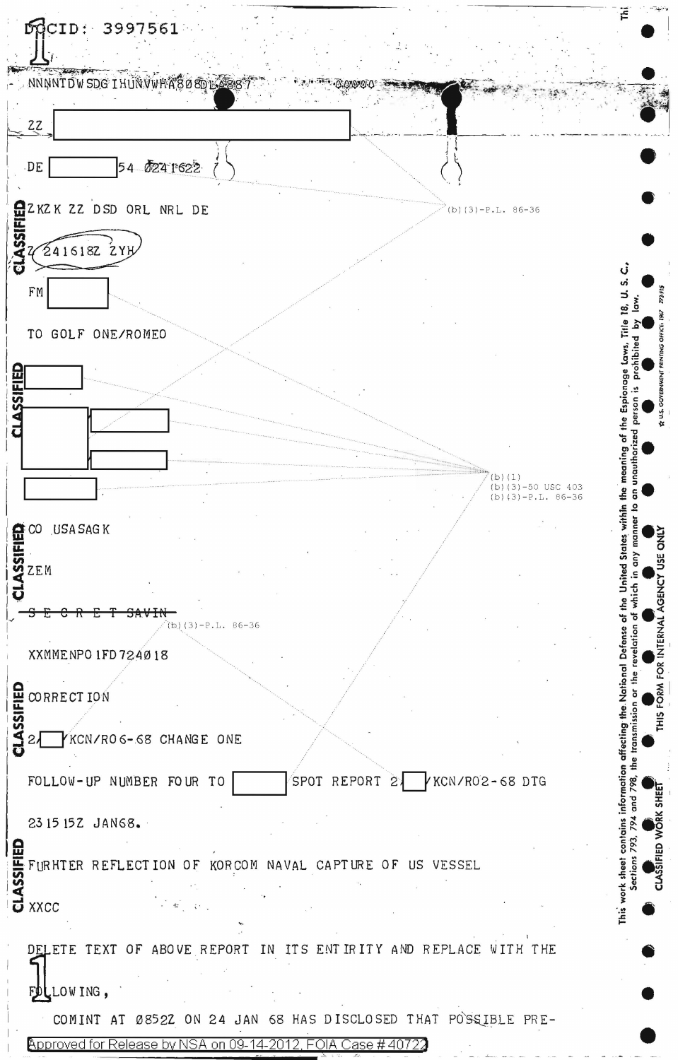| CID: 3997561                                                   |                                      |                               |                                 |             |
|----------------------------------------------------------------|--------------------------------------|-------------------------------|---------------------------------|-------------|
| NNNNTDWSDGIHUNVWHACOODLAGS                                     |                                      |                               |                                 |             |
| 22<br>54 824 1622<br>DE                                        |                                      |                               |                                 |             |
| ZKZK ZZ DSD ORL NRL DE<br>CLASSIFIED                           |                                      |                               | $(b)(3)-P.L. 86-36$             |             |
| 241618Z ZY                                                     |                                      |                               |                                 |             |
| FM                                                             |                                      |                               |                                 |             |
| TO GOLF ONE/ROMEO                                              |                                      |                               |                                 |             |
|                                                                |                                      |                               |                                 |             |
|                                                                |                                      |                               |                                 |             |
|                                                                |                                      |                               | (b)(1)<br>$(b)$ (3) -50 USC 403 | the meaning |
|                                                                |                                      |                               | $(b)(3)-P.L. 86-36$             | rithin      |
| <b>SSEE CO</b> USA SAG K<br><b>SSEE</b><br><b>CO</b> USA SAG K |                                      |                               |                                 |             |
|                                                                |                                      |                               |                                 |             |
| $(3)-P.L.$<br>$86 - 36$<br>XXMMENPO 1FD 724018                 |                                      |                               |                                 |             |
|                                                                |                                      |                               |                                 |             |
| SE CORRECT ION<br>KCN/RO6-68 CHANGE ONE                        |                                      |                               |                                 |             |
| FOLLOW-UP NUMBER FOUR TO                                       |                                      | SPOT REPORT 2 YKCN/RO2-68 DTG |                                 |             |
| 23 15 152 JAN68.                                               |                                      |                               |                                 |             |
|                                                                |                                      | US<br>VESSEL                  |                                 |             |
| FURHTER REFLECTION OF KORCOM NAVAL CAPTURE OF                  |                                      |                               |                                 |             |
| DELETE TEXT OF ABOVE REPORT                                    | IN ITS ENTIRITY AND REPLACE WITH THE |                               |                                 |             |
| FOLLOWING,                                                     |                                      |                               |                                 |             |
| COMINT AT 0852Z ON 24 JAN 68 HAS DISCLOSED THAT POSSIBLE PRE-  |                                      |                               |                                 |             |